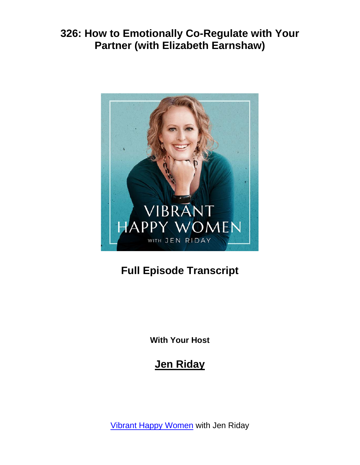

# **Full Episode Transcript**

**With Your Host**

# **Jen Riday**

[Vibrant Happy Women](https://www.jenriday.com/podcast/) with Jen Riday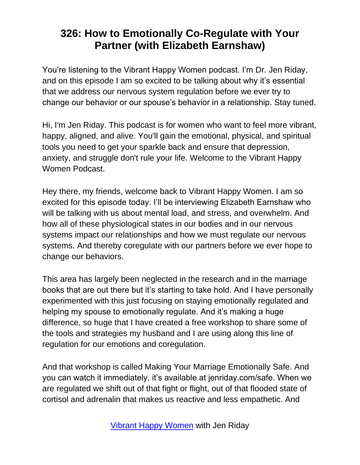You're listening to the Vibrant Happy Women podcast. I'm Dr. Jen Riday, and on this episode I am so excited to be talking about why it's essential that we address our nervous system regulation before we ever try to change our behavior or our spouse's behavior in a relationship. Stay tuned.

Hi, I'm Jen Riday. This podcast is for women who want to feel more vibrant, happy, aligned, and alive. You'll gain the emotional, physical, and spiritual tools you need to get your sparkle back and ensure that depression, anxiety, and struggle don't rule your life. Welcome to the Vibrant Happy Women Podcast.

Hey there, my friends, welcome back to Vibrant Happy Women. I am so excited for this episode today. I'll be interviewing Elizabeth Earnshaw who will be talking with us about mental load, and stress, and overwhelm. And how all of these physiological states in our bodies and in our nervous systems impact our relationships and how we must regulate our nervous systems. And thereby coregulate with our partners before we ever hope to change our behaviors.

This area has largely been neglected in the research and in the marriage books that are out there but it's starting to take hold. And I have personally experimented with this just focusing on staying emotionally regulated and helping my spouse to emotionally regulate. And it's making a huge difference, so huge that I have created a free workshop to share some of the tools and strategies my husband and I are using along this line of regulation for our emotions and coregulation.

And that workshop is called Making Your Marriage Emotionally Safe. And you can watch it immediately, it's available at jenriday.com/safe. When we are regulated we shift out of that fight or flight, out of that flooded state of cortisol and adrenalin that makes us reactive and less empathetic. And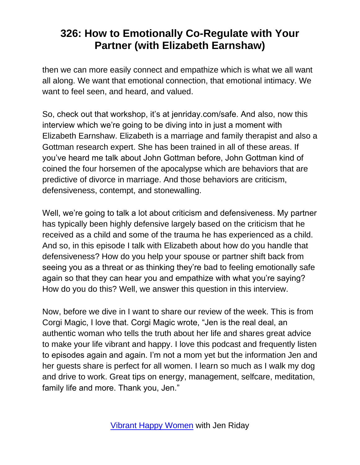then we can more easily connect and empathize which is what we all want all along. We want that emotional connection, that emotional intimacy. We want to feel seen, and heard, and valued.

So, check out that workshop, it's at jenriday.com/safe. And also, now this interview which we're going to be diving into in just a moment with Elizabeth Earnshaw. Elizabeth is a marriage and family therapist and also a Gottman research expert. She has been trained in all of these areas. If you've heard me talk about John Gottman before, John Gottman kind of coined the four horsemen of the apocalypse which are behaviors that are predictive of divorce in marriage. And those behaviors are criticism, defensiveness, contempt, and stonewalling.

Well, we're going to talk a lot about criticism and defensiveness. My partner has typically been highly defensive largely based on the criticism that he received as a child and some of the trauma he has experienced as a child. And so, in this episode I talk with Elizabeth about how do you handle that defensiveness? How do you help your spouse or partner shift back from seeing you as a threat or as thinking they're bad to feeling emotionally safe again so that they can hear you and empathize with what you're saying? How do you do this? Well, we answer this question in this interview.

Now, before we dive in I want to share our review of the week. This is from Corgi Magic, I love that. Corgi Magic wrote, "Jen is the real deal, an authentic woman who tells the truth about her life and shares great advice to make your life vibrant and happy. I love this podcast and frequently listen to episodes again and again. I'm not a mom yet but the information Jen and her guests share is perfect for all women. I learn so much as I walk my dog and drive to work. Great tips on energy, management, selfcare, meditation, family life and more. Thank you, Jen."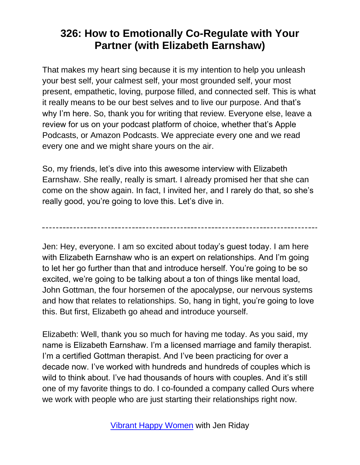That makes my heart sing because it is my intention to help you unleash your best self, your calmest self, your most grounded self, your most present, empathetic, loving, purpose filled, and connected self. This is what it really means to be our best selves and to live our purpose. And that's why I'm here. So, thank you for writing that review. Everyone else, leave a review for us on your podcast platform of choice, whether that's Apple Podcasts, or Amazon Podcasts. We appreciate every one and we read every one and we might share yours on the air.

So, my friends, let's dive into this awesome interview with Elizabeth Earnshaw. She really, really is smart. I already promised her that she can come on the show again. In fact, I invited her, and I rarely do that, so she's really good, you're going to love this. Let's dive in.

Jen: Hey, everyone. I am so excited about today's guest today. I am here with Elizabeth Earnshaw who is an expert on relationships. And I'm going to let her go further than that and introduce herself. You're going to be so excited, we're going to be talking about a ton of things like mental load, John Gottman, the four horsemen of the apocalypse, our nervous systems and how that relates to relationships. So, hang in tight, you're going to love this. But first, Elizabeth go ahead and introduce yourself.

Elizabeth: Well, thank you so much for having me today. As you said, my name is Elizabeth Earnshaw. I'm a licensed marriage and family therapist. I'm a certified Gottman therapist. And I've been practicing for over a decade now. I've worked with hundreds and hundreds of couples which is wild to think about. I've had thousands of hours with couples. And it's still one of my favorite things to do. I co-founded a company called Ours where we work with people who are just starting their relationships right now.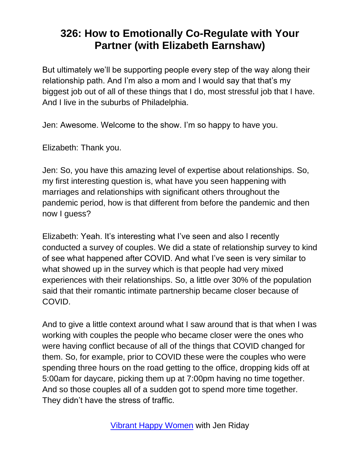But ultimately we'll be supporting people every step of the way along their relationship path. And I'm also a mom and I would say that that's my biggest job out of all of these things that I do, most stressful job that I have. And I live in the suburbs of Philadelphia.

Jen: Awesome. Welcome to the show. I'm so happy to have you.

Elizabeth: Thank you.

Jen: So, you have this amazing level of expertise about relationships. So, my first interesting question is, what have you seen happening with marriages and relationships with significant others throughout the pandemic period, how is that different from before the pandemic and then now I guess?

Elizabeth: Yeah. It's interesting what I've seen and also I recently conducted a survey of couples. We did a state of relationship survey to kind of see what happened after COVID. And what I've seen is very similar to what showed up in the survey which is that people had very mixed experiences with their relationships. So, a little over 30% of the population said that their romantic intimate partnership became closer because of COVID.

And to give a little context around what I saw around that is that when I was working with couples the people who became closer were the ones who were having conflict because of all of the things that COVID changed for them. So, for example, prior to COVID these were the couples who were spending three hours on the road getting to the office, dropping kids off at 5:00am for daycare, picking them up at 7:00pm having no time together. And so those couples all of a sudden got to spend more time together. They didn't have the stress of traffic.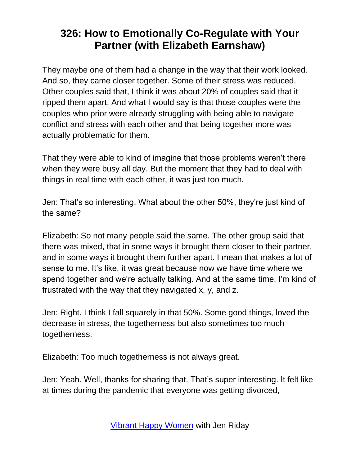They maybe one of them had a change in the way that their work looked. And so, they came closer together. Some of their stress was reduced. Other couples said that, I think it was about 20% of couples said that it ripped them apart. And what I would say is that those couples were the couples who prior were already struggling with being able to navigate conflict and stress with each other and that being together more was actually problematic for them.

That they were able to kind of imagine that those problems weren't there when they were busy all day. But the moment that they had to deal with things in real time with each other, it was just too much.

Jen: That's so interesting. What about the other 50%, they're just kind of the same?

Elizabeth: So not many people said the same. The other group said that there was mixed, that in some ways it brought them closer to their partner, and in some ways it brought them further apart. I mean that makes a lot of sense to me. It's like, it was great because now we have time where we spend together and we're actually talking. And at the same time, I'm kind of frustrated with the way that they navigated x, y, and z.

Jen: Right. I think I fall squarely in that 50%. Some good things, loved the decrease in stress, the togetherness but also sometimes too much togetherness.

Elizabeth: Too much togetherness is not always great.

Jen: Yeah. Well, thanks for sharing that. That's super interesting. It felt like at times during the pandemic that everyone was getting divorced,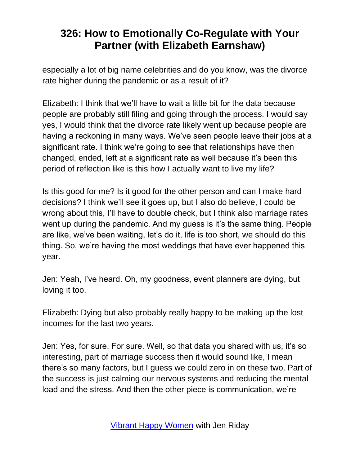especially a lot of big name celebrities and do you know, was the divorce rate higher during the pandemic or as a result of it?

Elizabeth: I think that we'll have to wait a little bit for the data because people are probably still filing and going through the process. I would say yes, I would think that the divorce rate likely went up because people are having a reckoning in many ways. We've seen people leave their jobs at a significant rate. I think we're going to see that relationships have then changed, ended, left at a significant rate as well because it's been this period of reflection like is this how I actually want to live my life?

Is this good for me? Is it good for the other person and can I make hard decisions? I think we'll see it goes up, but I also do believe, I could be wrong about this, I'll have to double check, but I think also marriage rates went up during the pandemic. And my guess is it's the same thing. People are like, we've been waiting, let's do it, life is too short, we should do this thing. So, we're having the most weddings that have ever happened this year.

Jen: Yeah, I've heard. Oh, my goodness, event planners are dying, but loving it too.

Elizabeth: Dying but also probably really happy to be making up the lost incomes for the last two years.

Jen: Yes, for sure. For sure. Well, so that data you shared with us, it's so interesting, part of marriage success then it would sound like, I mean there's so many factors, but I guess we could zero in on these two. Part of the success is just calming our nervous systems and reducing the mental load and the stress. And then the other piece is communication, we're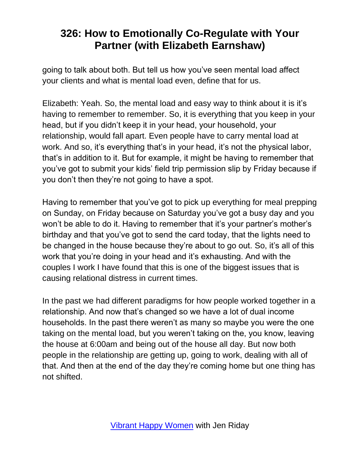going to talk about both. But tell us how you've seen mental load affect your clients and what is mental load even, define that for us.

Elizabeth: Yeah. So, the mental load and easy way to think about it is it's having to remember to remember. So, it is everything that you keep in your head, but if you didn't keep it in your head, your household, your relationship, would fall apart. Even people have to carry mental load at work. And so, it's everything that's in your head, it's not the physical labor, that's in addition to it. But for example, it might be having to remember that you've got to submit your kids' field trip permission slip by Friday because if you don't then they're not going to have a spot.

Having to remember that you've got to pick up everything for meal prepping on Sunday, on Friday because on Saturday you've got a busy day and you won't be able to do it. Having to remember that it's your partner's mother's birthday and that you've got to send the card today, that the lights need to be changed in the house because they're about to go out. So, it's all of this work that you're doing in your head and it's exhausting. And with the couples I work I have found that this is one of the biggest issues that is causing relational distress in current times.

In the past we had different paradigms for how people worked together in a relationship. And now that's changed so we have a lot of dual income households. In the past there weren't as many so maybe you were the one taking on the mental load, but you weren't taking on the, you know, leaving the house at 6:00am and being out of the house all day. But now both people in the relationship are getting up, going to work, dealing with all of that. And then at the end of the day they're coming home but one thing has not shifted.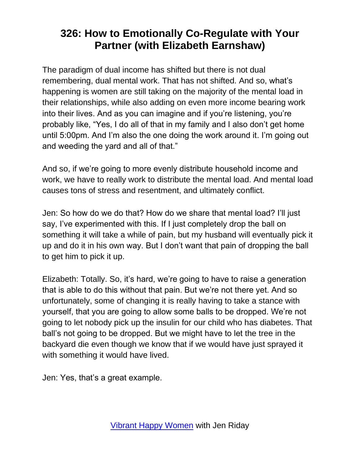The paradigm of dual income has shifted but there is not dual remembering, dual mental work. That has not shifted. And so, what's happening is women are still taking on the majority of the mental load in their relationships, while also adding on even more income bearing work into their lives. And as you can imagine and if you're listening, you're probably like, "Yes, I do all of that in my family and I also don't get home until 5:00pm. And I'm also the one doing the work around it. I'm going out and weeding the yard and all of that."

And so, if we're going to more evenly distribute household income and work, we have to really work to distribute the mental load. And mental load causes tons of stress and resentment, and ultimately conflict.

Jen: So how do we do that? How do we share that mental load? I'll just say, I've experimented with this. If I just completely drop the ball on something it will take a while of pain, but my husband will eventually pick it up and do it in his own way. But I don't want that pain of dropping the ball to get him to pick it up.

Elizabeth: Totally. So, it's hard, we're going to have to raise a generation that is able to do this without that pain. But we're not there yet. And so unfortunately, some of changing it is really having to take a stance with yourself, that you are going to allow some balls to be dropped. We're not going to let nobody pick up the insulin for our child who has diabetes. That ball's not going to be dropped. But we might have to let the tree in the backyard die even though we know that if we would have just sprayed it with something it would have lived.

Jen: Yes, that's a great example.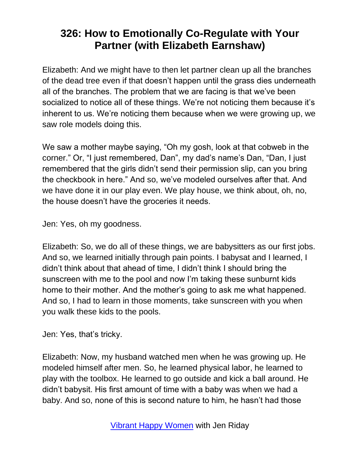Elizabeth: And we might have to then let partner clean up all the branches of the dead tree even if that doesn't happen until the grass dies underneath all of the branches. The problem that we are facing is that we've been socialized to notice all of these things. We're not noticing them because it's inherent to us. We're noticing them because when we were growing up, we saw role models doing this.

We saw a mother maybe saying, "Oh my gosh, look at that cobweb in the corner." Or, "I just remembered, Dan", my dad's name's Dan, "Dan, I just remembered that the girls didn't send their permission slip, can you bring the checkbook in here." And so, we've modeled ourselves after that. And we have done it in our play even. We play house, we think about, oh, no, the house doesn't have the groceries it needs.

Jen: Yes, oh my goodness.

Elizabeth: So, we do all of these things, we are babysitters as our first jobs. And so, we learned initially through pain points. I babysat and I learned, I didn't think about that ahead of time, I didn't think I should bring the sunscreen with me to the pool and now I'm taking these sunburnt kids home to their mother. And the mother's going to ask me what happened. And so, I had to learn in those moments, take sunscreen with you when you walk these kids to the pools.

Jen: Yes, that's tricky.

Elizabeth: Now, my husband watched men when he was growing up. He modeled himself after men. So, he learned physical labor, he learned to play with the toolbox. He learned to go outside and kick a ball around. He didn't babysit. His first amount of time with a baby was when we had a baby. And so, none of this is second nature to him, he hasn't had those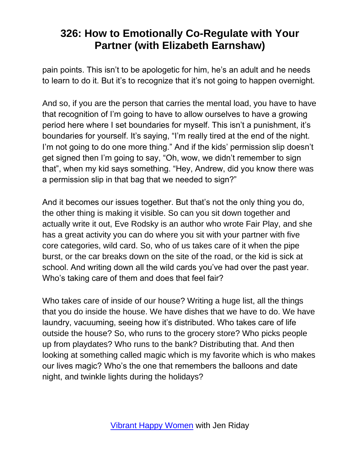pain points. This isn't to be apologetic for him, he's an adult and he needs to learn to do it. But it's to recognize that it's not going to happen overnight.

And so, if you are the person that carries the mental load, you have to have that recognition of I'm going to have to allow ourselves to have a growing period here where I set boundaries for myself. This isn't a punishment, it's boundaries for yourself. It's saying, "I'm really tired at the end of the night. I'm not going to do one more thing." And if the kids' permission slip doesn't get signed then I'm going to say, "Oh, wow, we didn't remember to sign that", when my kid says something. "Hey, Andrew, did you know there was a permission slip in that bag that we needed to sign?"

And it becomes our issues together. But that's not the only thing you do, the other thing is making it visible. So can you sit down together and actually write it out, Eve Rodsky is an author who wrote Fair Play, and she has a great activity you can do where you sit with your partner with five core categories, wild card. So, who of us takes care of it when the pipe burst, or the car breaks down on the site of the road, or the kid is sick at school. And writing down all the wild cards you've had over the past year. Who's taking care of them and does that feel fair?

Who takes care of inside of our house? Writing a huge list, all the things that you do inside the house. We have dishes that we have to do. We have laundry, vacuuming, seeing how it's distributed. Who takes care of life outside the house? So, who runs to the grocery store? Who picks people up from playdates? Who runs to the bank? Distributing that. And then looking at something called magic which is my favorite which is who makes our lives magic? Who's the one that remembers the balloons and date night, and twinkle lights during the holidays?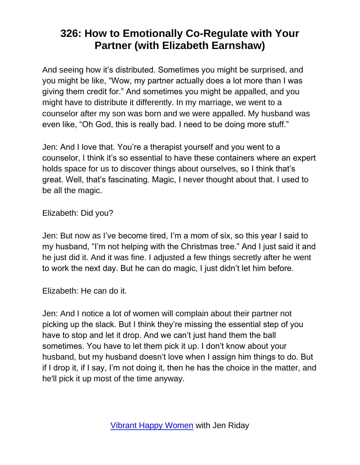And seeing how it's distributed. Sometimes you might be surprised, and you might be like, "Wow, my partner actually does a lot more than I was giving them credit for." And sometimes you might be appalled, and you might have to distribute it differently. In my marriage, we went to a counselor after my son was born and we were appalled. My husband was even like, "Oh God, this is really bad. I need to be doing more stuff."

Jen: And I love that. You're a therapist yourself and you went to a counselor, I think it's so essential to have these containers where an expert holds space for us to discover things about ourselves, so I think that's great. Well, that's fascinating. Magic, I never thought about that. I used to be all the magic.

Elizabeth: Did you?

Jen: But now as I've become tired, I'm a mom of six, so this year I said to my husband, "I'm not helping with the Christmas tree." And I just said it and he just did it. And it was fine. I adjusted a few things secretly after he went to work the next day. But he can do magic, I just didn't let him before.

Elizabeth: He can do it.

Jen: And I notice a lot of women will complain about their partner not picking up the slack. But I think they're missing the essential step of you have to stop and let it drop. And we can't just hand them the ball sometimes. You have to let them pick it up. I don't know about your husband, but my husband doesn't love when I assign him things to do. But if I drop it, if I say, I'm not doing it, then he has the choice in the matter, and he'll pick it up most of the time anyway.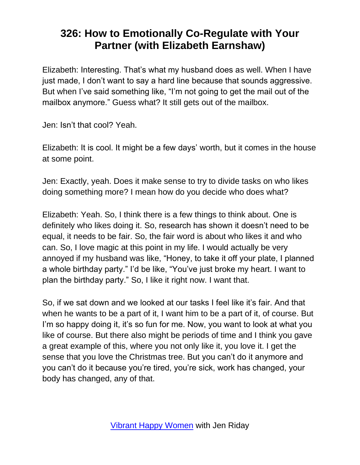Elizabeth: Interesting. That's what my husband does as well. When I have just made, I don't want to say a hard line because that sounds aggressive. But when I've said something like, "I'm not going to get the mail out of the mailbox anymore." Guess what? It still gets out of the mailbox.

Jen: Isn't that cool? Yeah.

Elizabeth: It is cool. It might be a few days' worth, but it comes in the house at some point.

Jen: Exactly, yeah. Does it make sense to try to divide tasks on who likes doing something more? I mean how do you decide who does what?

Elizabeth: Yeah. So, I think there is a few things to think about. One is definitely who likes doing it. So, research has shown it doesn't need to be equal, it needs to be fair. So, the fair word is about who likes it and who can. So, I love magic at this point in my life. I would actually be very annoyed if my husband was like, "Honey, to take it off your plate, I planned a whole birthday party." I'd be like, "You've just broke my heart. I want to plan the birthday party." So, I like it right now. I want that.

So, if we sat down and we looked at our tasks I feel like it's fair. And that when he wants to be a part of it, I want him to be a part of it, of course. But I'm so happy doing it, it's so fun for me. Now, you want to look at what you like of course. But there also might be periods of time and I think you gave a great example of this, where you not only like it, you love it. I get the sense that you love the Christmas tree. But you can't do it anymore and you can't do it because you're tired, you're sick, work has changed, your body has changed, any of that.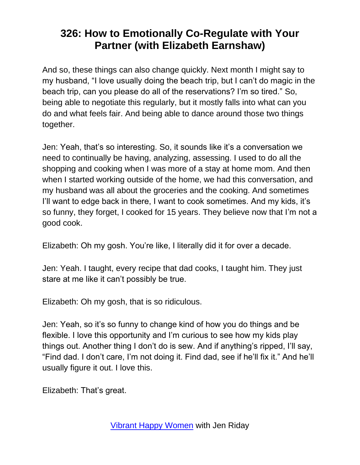And so, these things can also change quickly. Next month I might say to my husband, "I love usually doing the beach trip, but I can't do magic in the beach trip, can you please do all of the reservations? I'm so tired." So, being able to negotiate this regularly, but it mostly falls into what can you do and what feels fair. And being able to dance around those two things together.

Jen: Yeah, that's so interesting. So, it sounds like it's a conversation we need to continually be having, analyzing, assessing. I used to do all the shopping and cooking when I was more of a stay at home mom. And then when I started working outside of the home, we had this conversation, and my husband was all about the groceries and the cooking. And sometimes I'll want to edge back in there, I want to cook sometimes. And my kids, it's so funny, they forget, I cooked for 15 years. They believe now that I'm not a good cook.

Elizabeth: Oh my gosh. You're like, I literally did it for over a decade.

Jen: Yeah. I taught, every recipe that dad cooks, I taught him. They just stare at me like it can't possibly be true.

Elizabeth: Oh my gosh, that is so ridiculous.

Jen: Yeah, so it's so funny to change kind of how you do things and be flexible. I love this opportunity and I'm curious to see how my kids play things out. Another thing I don't do is sew. And if anything's ripped, I'll say, "Find dad. I don't care, I'm not doing it. Find dad, see if he'll fix it." And he'll usually figure it out. I love this.

Elizabeth: That's great.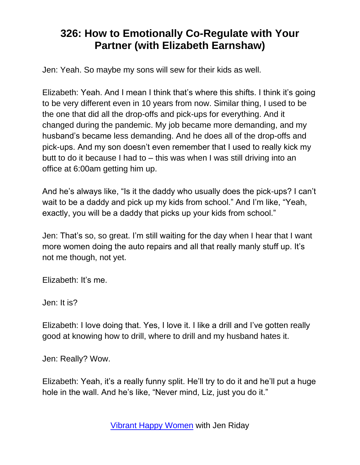Jen: Yeah. So maybe my sons will sew for their kids as well.

Elizabeth: Yeah. And I mean I think that's where this shifts. I think it's going to be very different even in 10 years from now. Similar thing, I used to be the one that did all the drop-offs and pick-ups for everything. And it changed during the pandemic. My job became more demanding, and my husband's became less demanding. And he does all of the drop-offs and pick-ups. And my son doesn't even remember that I used to really kick my butt to do it because I had to – this was when I was still driving into an office at 6:00am getting him up.

And he's always like, "Is it the daddy who usually does the pick-ups? I can't wait to be a daddy and pick up my kids from school." And I'm like, "Yeah, exactly, you will be a daddy that picks up your kids from school."

Jen: That's so, so great. I'm still waiting for the day when I hear that I want more women doing the auto repairs and all that really manly stuff up. It's not me though, not yet.

Elizabeth: It's me.

Jen: It is?

Elizabeth: I love doing that. Yes, I love it. I like a drill and I've gotten really good at knowing how to drill, where to drill and my husband hates it.

Jen: Really? Wow.

Elizabeth: Yeah, it's a really funny split. He'll try to do it and he'll put a huge hole in the wall. And he's like, "Never mind, Liz, just you do it."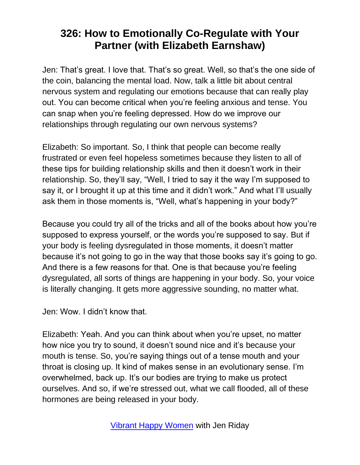Jen: That's great. I love that. That's so great. Well, so that's the one side of the coin, balancing the mental load. Now, talk a little bit about central nervous system and regulating our emotions because that can really play out. You can become critical when you're feeling anxious and tense. You can snap when you're feeling depressed. How do we improve our relationships through regulating our own nervous systems?

Elizabeth: So important. So, I think that people can become really frustrated or even feel hopeless sometimes because they listen to all of these tips for building relationship skills and then it doesn't work in their relationship. So, they'll say, "Well, I tried to say it the way I'm supposed to say it, or I brought it up at this time and it didn't work." And what I'll usually ask them in those moments is, "Well, what's happening in your body?"

Because you could try all of the tricks and all of the books about how you're supposed to express yourself, or the words you're supposed to say. But if your body is feeling dysregulated in those moments, it doesn't matter because it's not going to go in the way that those books say it's going to go. And there is a few reasons for that. One is that because you're feeling dysregulated, all sorts of things are happening in your body. So, your voice is literally changing. It gets more aggressive sounding, no matter what.

Jen: Wow. I didn't know that.

Elizabeth: Yeah. And you can think about when you're upset, no matter how nice you try to sound, it doesn't sound nice and it's because your mouth is tense. So, you're saying things out of a tense mouth and your throat is closing up. It kind of makes sense in an evolutionary sense. I'm overwhelmed, back up. It's our bodies are trying to make us protect ourselves. And so, if we're stressed out, what we call flooded, all of these hormones are being released in your body.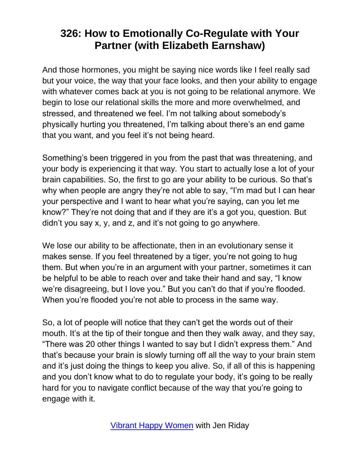And those hormones, you might be saying nice words like I feel really sad but your voice, the way that your face looks, and then your ability to engage with whatever comes back at you is not going to be relational anymore. We begin to lose our relational skills the more and more overwhelmed, and stressed, and threatened we feel. I'm not talking about somebody's physically hurting you threatened, I'm talking about there's an end game that you want, and you feel it's not being heard.

Something's been triggered in you from the past that was threatening, and your body is experiencing it that way. You start to actually lose a lot of your brain capabilities. So, the first to go are your ability to be curious. So that's why when people are angry they're not able to say, "I'm mad but I can hear your perspective and I want to hear what you're saying, can you let me know?" They're not doing that and if they are it's a got you, question. But didn't you say x, y, and z, and it's not going to go anywhere.

We lose our ability to be affectionate, then in an evolutionary sense it makes sense. If you feel threatened by a tiger, you're not going to hug them. But when you're in an argument with your partner, sometimes it can be helpful to be able to reach over and take their hand and say, "I know we're disagreeing, but I love you." But you can't do that if you're flooded. When you're flooded you're not able to process in the same way.

So, a lot of people will notice that they can't get the words out of their mouth. It's at the tip of their tongue and then they walk away, and they say, "There was 20 other things I wanted to say but I didn't express them." And that's because your brain is slowly turning off all the way to your brain stem and it's just doing the things to keep you alive. So, if all of this is happening and you don't know what to do to regulate your body, it's going to be really hard for you to navigate conflict because of the way that you're going to engage with it.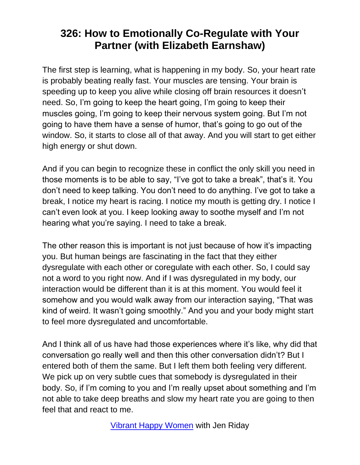The first step is learning, what is happening in my body. So, your heart rate is probably beating really fast. Your muscles are tensing. Your brain is speeding up to keep you alive while closing off brain resources it doesn't need. So, I'm going to keep the heart going, I'm going to keep their muscles going, I'm going to keep their nervous system going. But I'm not going to have them have a sense of humor, that's going to go out of the window. So, it starts to close all of that away. And you will start to get either high energy or shut down.

And if you can begin to recognize these in conflict the only skill you need in those moments is to be able to say, "I've got to take a break", that's it. You don't need to keep talking. You don't need to do anything. I've got to take a break, I notice my heart is racing. I notice my mouth is getting dry. I notice I can't even look at you. I keep looking away to soothe myself and I'm not hearing what you're saying. I need to take a break.

The other reason this is important is not just because of how it's impacting you. But human beings are fascinating in the fact that they either dysregulate with each other or coregulate with each other. So, I could say not a word to you right now. And if I was dysregulated in my body, our interaction would be different than it is at this moment. You would feel it somehow and you would walk away from our interaction saying, "That was kind of weird. It wasn't going smoothly." And you and your body might start to feel more dysregulated and uncomfortable.

And I think all of us have had those experiences where it's like, why did that conversation go really well and then this other conversation didn't? But I entered both of them the same. But I left them both feeling very different. We pick up on very subtle cues that somebody is dysregulated in their body. So, if I'm coming to you and I'm really upset about something and I'm not able to take deep breaths and slow my heart rate you are going to then feel that and react to me.

[Vibrant Happy Women](https://www.jenriday.com/podcast/) with Jen Riday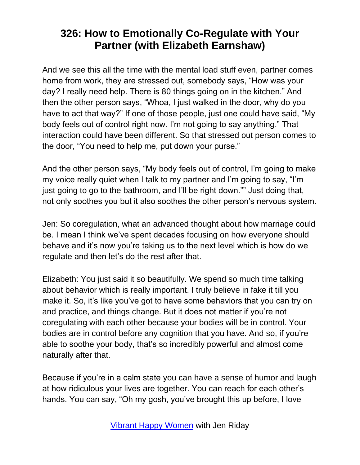And we see this all the time with the mental load stuff even, partner comes home from work, they are stressed out, somebody says, "How was your day? I really need help. There is 80 things going on in the kitchen." And then the other person says, "Whoa, I just walked in the door, why do you have to act that way?" If one of those people, just one could have said, "My body feels out of control right now. I'm not going to say anything." That interaction could have been different. So that stressed out person comes to the door, "You need to help me, put down your purse."

And the other person says, "My body feels out of control, I'm going to make my voice really quiet when I talk to my partner and I'm going to say, "I'm just going to go to the bathroom, and I'll be right down."" Just doing that, not only soothes you but it also soothes the other person's nervous system.

Jen: So coregulation, what an advanced thought about how marriage could be. I mean I think we've spent decades focusing on how everyone should behave and it's now you're taking us to the next level which is how do we regulate and then let's do the rest after that.

Elizabeth: You just said it so beautifully. We spend so much time talking about behavior which is really important. I truly believe in fake it till you make it. So, it's like you've got to have some behaviors that you can try on and practice, and things change. But it does not matter if you're not coregulating with each other because your bodies will be in control. Your bodies are in control before any cognition that you have. And so, if you're able to soothe your body, that's so incredibly powerful and almost come naturally after that.

Because if you're in a calm state you can have a sense of humor and laugh at how ridiculous your lives are together. You can reach for each other's hands. You can say, "Oh my gosh, you've brought this up before, I love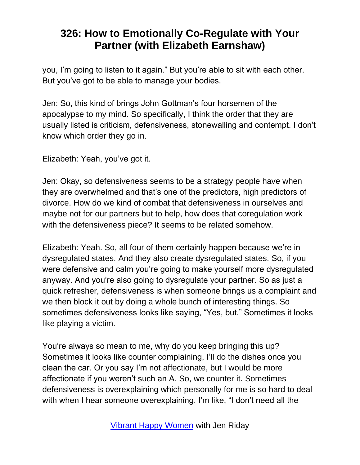you, I'm going to listen to it again." But you're able to sit with each other. But you've got to be able to manage your bodies.

Jen: So, this kind of brings John Gottman's four horsemen of the apocalypse to my mind. So specifically, I think the order that they are usually listed is criticism, defensiveness, stonewalling and contempt. I don't know which order they go in.

Elizabeth: Yeah, you've got it.

Jen: Okay, so defensiveness seems to be a strategy people have when they are overwhelmed and that's one of the predictors, high predictors of divorce. How do we kind of combat that defensiveness in ourselves and maybe not for our partners but to help, how does that coregulation work with the defensiveness piece? It seems to be related somehow.

Elizabeth: Yeah. So, all four of them certainly happen because we're in dysregulated states. And they also create dysregulated states. So, if you were defensive and calm you're going to make yourself more dysregulated anyway. And you're also going to dysregulate your partner. So as just a quick refresher, defensiveness is when someone brings us a complaint and we then block it out by doing a whole bunch of interesting things. So sometimes defensiveness looks like saying, "Yes, but." Sometimes it looks like playing a victim.

You're always so mean to me, why do you keep bringing this up? Sometimes it looks like counter complaining, I'll do the dishes once you clean the car. Or you say I'm not affectionate, but I would be more affectionate if you weren't such an A. So, we counter it. Sometimes defensiveness is overexplaining which personally for me is so hard to deal with when I hear someone overexplaining. I'm like, "I don't need all the

[Vibrant Happy Women](https://www.jenriday.com/podcast/) with Jen Riday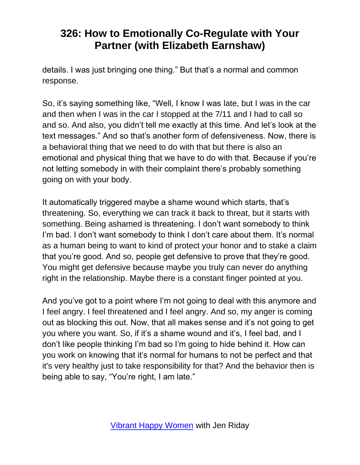details. I was just bringing one thing." But that's a normal and common response.

So, it's saying something like, "Well, I know I was late, but I was in the car and then when I was in the car I stopped at the 7/11 and I had to call so and so. And also, you didn't tell me exactly at this time. And let's look at the text messages." And so that's another form of defensiveness. Now, there is a behavioral thing that we need to do with that but there is also an emotional and physical thing that we have to do with that. Because if you're not letting somebody in with their complaint there's probably something going on with your body.

It automatically triggered maybe a shame wound which starts, that's threatening. So, everything we can track it back to threat, but it starts with something. Being ashamed is threatening. I don't want somebody to think I'm bad. I don't want somebody to think I don't care about them. It's normal as a human being to want to kind of protect your honor and to stake a claim that you're good. And so, people get defensive to prove that they're good. You might get defensive because maybe you truly can never do anything right in the relationship. Maybe there is a constant finger pointed at you.

And you've got to a point where I'm not going to deal with this anymore and I feel angry. I feel threatened and I feel angry. And so, my anger is coming out as blocking this out. Now, that all makes sense and it's not going to get you where you want. So, if it's a shame wound and it's, I feel bad, and I don't like people thinking I'm bad so I'm going to hide behind it. How can you work on knowing that it's normal for humans to not be perfect and that it's very healthy just to take responsibility for that? And the behavior then is being able to say, "You're right, I am late."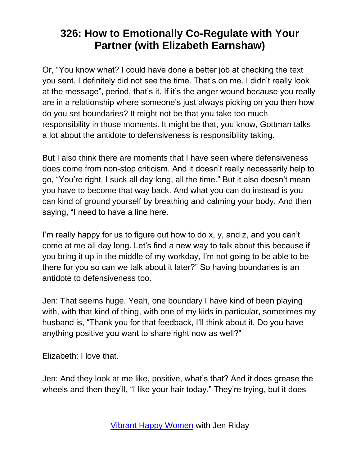Or, "You know what? I could have done a better job at checking the text you sent. I definitely did not see the time. That's on me. I didn't really look at the message", period, that's it. If it's the anger wound because you really are in a relationship where someone's just always picking on you then how do you set boundaries? It might not be that you take too much responsibility in those moments. It might be that, you know, Gottman talks a lot about the antidote to defensiveness is responsibility taking.

But I also think there are moments that I have seen where defensiveness does come from non-stop criticism. And it doesn't really necessarily help to go, "You're right, I suck all day long, all the time." But it also doesn't mean you have to become that way back. And what you can do instead is you can kind of ground yourself by breathing and calming your body. And then saying, "I need to have a line here.

I'm really happy for us to figure out how to do x, y, and z, and you can't come at me all day long. Let's find a new way to talk about this because if you bring it up in the middle of my workday, I'm not going to be able to be there for you so can we talk about it later?" So having boundaries is an antidote to defensiveness too.

Jen: That seems huge. Yeah, one boundary I have kind of been playing with, with that kind of thing, with one of my kids in particular, sometimes my husband is, "Thank you for that feedback, I'll think about it. Do you have anything positive you want to share right now as well?"

Elizabeth: I love that.

Jen: And they look at me like, positive, what's that? And it does grease the wheels and then they'll, "I like your hair today." They're trying, but it does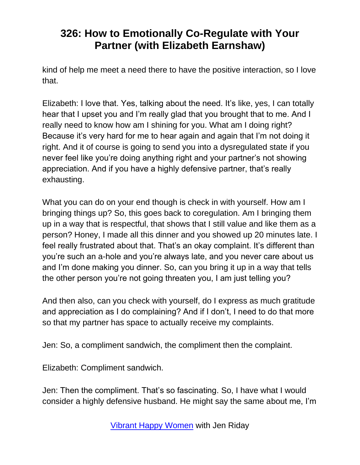kind of help me meet a need there to have the positive interaction, so I love that.

Elizabeth: I love that. Yes, talking about the need. It's like, yes, I can totally hear that I upset you and I'm really glad that you brought that to me. And I really need to know how am I shining for you. What am I doing right? Because it's very hard for me to hear again and again that I'm not doing it right. And it of course is going to send you into a dysregulated state if you never feel like you're doing anything right and your partner's not showing appreciation. And if you have a highly defensive partner, that's really exhausting.

What you can do on your end though is check in with yourself. How am I bringing things up? So, this goes back to coregulation. Am I bringing them up in a way that is respectful, that shows that I still value and like them as a person? Honey, I made all this dinner and you showed up 20 minutes late. I feel really frustrated about that. That's an okay complaint. It's different than you're such an a-hole and you're always late, and you never care about us and I'm done making you dinner. So, can you bring it up in a way that tells the other person you're not going threaten you, I am just telling you?

And then also, can you check with yourself, do I express as much gratitude and appreciation as I do complaining? And if I don't, I need to do that more so that my partner has space to actually receive my complaints.

Jen: So, a compliment sandwich, the compliment then the complaint.

Elizabeth: Compliment sandwich.

Jen: Then the compliment. That's so fascinating. So, I have what I would consider a highly defensive husband. He might say the same about me, I'm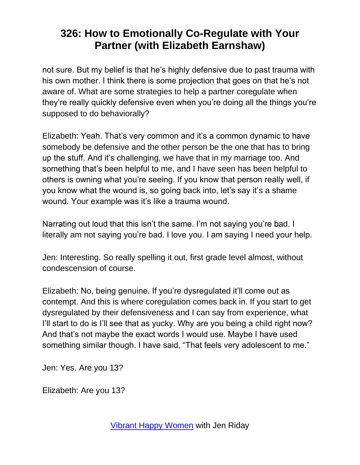not sure. But my belief is that he's highly defensive due to past trauma with his own mother. I think there is some projection that goes on that he's not aware of. What are some strategies to help a partner coregulate when they're really quickly defensive even when you're doing all the things you're supposed to do behaviorally?

Elizabeth: Yeah. That's very common and it's a common dynamic to have somebody be defensive and the other person be the one that has to bring up the stuff. And it's challenging, we have that in my marriage too. And something that's been helpful to me, and I have seen has been helpful to others is owning what you're seeing. If you know that person really well, if you know what the wound is, so going back into, let's say it's a shame wound. Your example was it's like a trauma wound.

Narrating out loud that this isn't the same. I'm not saying you're bad. I literally am not saying you're bad. I love you. I am saying I need your help.

Jen: Interesting. So really spelling it out, first grade level almost, without condescension of course.

Elizabeth: No, being genuine. If you're dysregulated it'll come out as contempt. And this is where coregulation comes back in. If you start to get dysregulated by their defensiveness and I can say from experience, what I'll start to do is I'll see that as yucky. Why are you being a child right now? And that's not maybe the exact words I would use. Maybe I have used something similar though. I have said, "That feels very adolescent to me."

Jen: Yes. Are you 13?

Elizabeth: Are you 13?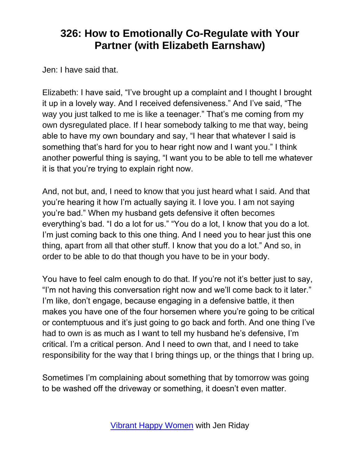Jen: I have said that.

Elizabeth: I have said, "I've brought up a complaint and I thought I brought it up in a lovely way. And I received defensiveness." And I've said, "The way you just talked to me is like a teenager." That's me coming from my own dysregulated place. If I hear somebody talking to me that way, being able to have my own boundary and say, "I hear that whatever I said is something that's hard for you to hear right now and I want you." I think another powerful thing is saying, "I want you to be able to tell me whatever it is that you're trying to explain right now.

And, not but, and, I need to know that you just heard what I said. And that you're hearing it how I'm actually saying it. I love you. I am not saying you're bad." When my husband gets defensive it often becomes everything's bad. "I do a lot for us." "You do a lot, I know that you do a lot. I'm just coming back to this one thing. And I need you to hear just this one thing, apart from all that other stuff. I know that you do a lot." And so, in order to be able to do that though you have to be in your body.

You have to feel calm enough to do that. If you're not it's better just to say, "I'm not having this conversation right now and we'll come back to it later." I'm like, don't engage, because engaging in a defensive battle, it then makes you have one of the four horsemen where you're going to be critical or contemptuous and it's just going to go back and forth. And one thing I've had to own is as much as I want to tell my husband he's defensive, I'm critical. I'm a critical person. And I need to own that, and I need to take responsibility for the way that I bring things up, or the things that I bring up.

Sometimes I'm complaining about something that by tomorrow was going to be washed off the driveway or something, it doesn't even matter.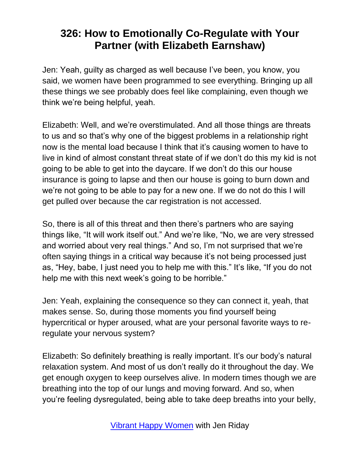Jen: Yeah, guilty as charged as well because I've been, you know, you said, we women have been programmed to see everything. Bringing up all these things we see probably does feel like complaining, even though we think we're being helpful, yeah.

Elizabeth: Well, and we're overstimulated. And all those things are threats to us and so that's why one of the biggest problems in a relationship right now is the mental load because I think that it's causing women to have to live in kind of almost constant threat state of if we don't do this my kid is not going to be able to get into the daycare. If we don't do this our house insurance is going to lapse and then our house is going to burn down and we're not going to be able to pay for a new one. If we do not do this I will get pulled over because the car registration is not accessed.

So, there is all of this threat and then there's partners who are saying things like, "It will work itself out." And we're like, "No, we are very stressed and worried about very real things." And so, I'm not surprised that we're often saying things in a critical way because it's not being processed just as, "Hey, babe, I just need you to help me with this." It's like, "If you do not help me with this next week's going to be horrible."

Jen: Yeah, explaining the consequence so they can connect it, yeah, that makes sense. So, during those moments you find yourself being hypercritical or hyper aroused, what are your personal favorite ways to reregulate your nervous system?

Elizabeth: So definitely breathing is really important. It's our body's natural relaxation system. And most of us don't really do it throughout the day. We get enough oxygen to keep ourselves alive. In modern times though we are breathing into the top of our lungs and moving forward. And so, when you're feeling dysregulated, being able to take deep breaths into your belly,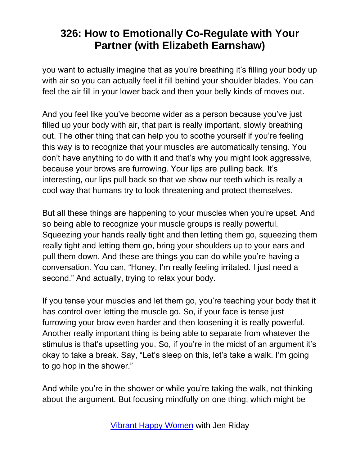you want to actually imagine that as you're breathing it's filling your body up with air so you can actually feel it fill behind your shoulder blades. You can feel the air fill in your lower back and then your belly kinds of moves out.

And you feel like you've become wider as a person because you've just filled up your body with air, that part is really important, slowly breathing out. The other thing that can help you to soothe yourself if you're feeling this way is to recognize that your muscles are automatically tensing. You don't have anything to do with it and that's why you might look aggressive, because your brows are furrowing. Your lips are pulling back. It's interesting, our lips pull back so that we show our teeth which is really a cool way that humans try to look threatening and protect themselves.

But all these things are happening to your muscles when you're upset. And so being able to recognize your muscle groups is really powerful. Squeezing your hands really tight and then letting them go, squeezing them really tight and letting them go, bring your shoulders up to your ears and pull them down. And these are things you can do while you're having a conversation. You can, "Honey, I'm really feeling irritated. I just need a second." And actually, trying to relax your body.

If you tense your muscles and let them go, you're teaching your body that it has control over letting the muscle go. So, if your face is tense just furrowing your brow even harder and then loosening it is really powerful. Another really important thing is being able to separate from whatever the stimulus is that's upsetting you. So, if you're in the midst of an argument it's okay to take a break. Say, "Let's sleep on this, let's take a walk. I'm going to go hop in the shower."

And while you're in the shower or while you're taking the walk, not thinking about the argument. But focusing mindfully on one thing, which might be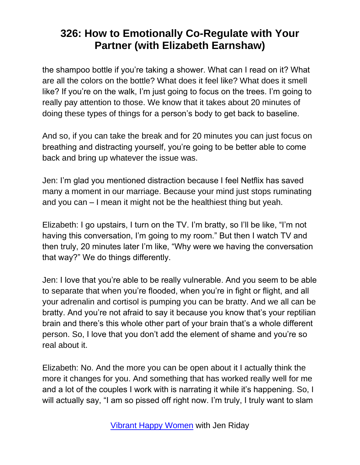the shampoo bottle if you're taking a shower. What can I read on it? What are all the colors on the bottle? What does it feel like? What does it smell like? If you're on the walk, I'm just going to focus on the trees. I'm going to really pay attention to those. We know that it takes about 20 minutes of doing these types of things for a person's body to get back to baseline.

And so, if you can take the break and for 20 minutes you can just focus on breathing and distracting yourself, you're going to be better able to come back and bring up whatever the issue was.

Jen: I'm glad you mentioned distraction because I feel Netflix has saved many a moment in our marriage. Because your mind just stops ruminating and you can – I mean it might not be the healthiest thing but yeah.

Elizabeth: I go upstairs, I turn on the TV. I'm bratty, so I'll be like, "I'm not having this conversation, I'm going to my room." But then I watch TV and then truly, 20 minutes later I'm like, "Why were we having the conversation that way?" We do things differently.

Jen: I love that you're able to be really vulnerable. And you seem to be able to separate that when you're flooded, when you're in fight or flight, and all your adrenalin and cortisol is pumping you can be bratty. And we all can be bratty. And you're not afraid to say it because you know that's your reptilian brain and there's this whole other part of your brain that's a whole different person. So, I love that you don't add the element of shame and you're so real about it.

Elizabeth: No. And the more you can be open about it I actually think the more it changes for you. And something that has worked really well for me and a lot of the couples I work with is narrating it while it's happening. So, I will actually say, "I am so pissed off right now. I'm truly, I truly want to slam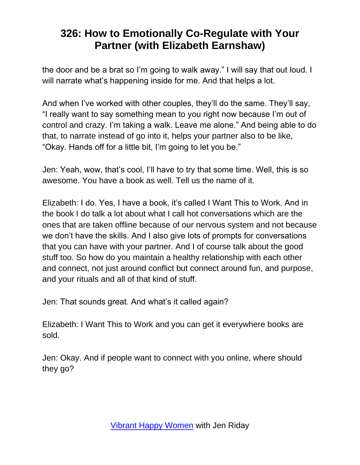the door and be a brat so I'm going to walk away." I will say that out loud. I will narrate what's happening inside for me. And that helps a lot.

And when I've worked with other couples, they'll do the same. They'll say, "I really want to say something mean to you right now because I'm out of control and crazy. I'm taking a walk. Leave me alone." And being able to do that, to narrate instead of go into it, helps your partner also to be like, "Okay. Hands off for a little bit, I'm going to let you be."

Jen: Yeah, wow, that's cool, I'll have to try that some time. Well, this is so awesome. You have a book as well. Tell us the name of it.

Elizabeth: I do. Yes, I have a book, it's called I Want This to Work. And in the book I do talk a lot about what I call hot conversations which are the ones that are taken offline because of our nervous system and not because we don't have the skills. And I also give lots of prompts for conversations that you can have with your partner. And I of course talk about the good stuff too. So how do you maintain a healthy relationship with each other and connect, not just around conflict but connect around fun, and purpose, and your rituals and all of that kind of stuff.

Jen: That sounds great. And what's it called again?

Elizabeth: I Want This to Work and you can get it everywhere books are sold.

Jen: Okay. And if people want to connect with you online, where should they go?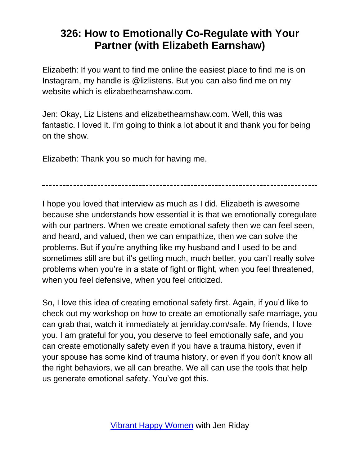Elizabeth: If you want to find me online the easiest place to find me is on Instagram, my handle is @lizlistens. But you can also find me on my website which is elizabethearnshaw.com.

Jen: Okay, Liz Listens and elizabethearnshaw.com. Well, this was fantastic. I loved it. I'm going to think a lot about it and thank you for being on the show.

Elizabeth: Thank you so much for having me.

I hope you loved that interview as much as I did. Elizabeth is awesome because she understands how essential it is that we emotionally coregulate with our partners. When we create emotional safety then we can feel seen, and heard, and valued, then we can empathize, then we can solve the problems. But if you're anything like my husband and I used to be and sometimes still are but it's getting much, much better, you can't really solve problems when you're in a state of fight or flight, when you feel threatened, when you feel defensive, when you feel criticized.

So, I love this idea of creating emotional safety first. Again, if you'd like to check out my workshop on how to create an emotionally safe marriage, you can grab that, watch it immediately at jenriday.com/safe. My friends, I love you. I am grateful for you, you deserve to feel emotionally safe, and you can create emotionally safety even if you have a trauma history, even if your spouse has some kind of trauma history, or even if you don't know all the right behaviors, we all can breathe. We all can use the tools that help us generate emotional safety. You've got this.